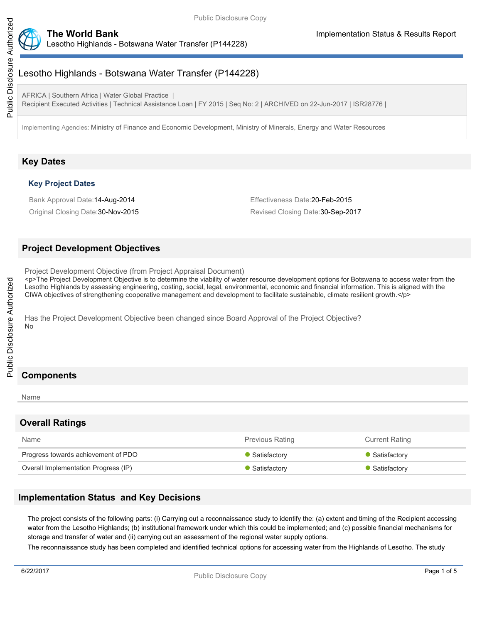



## Lesotho Highlands - Botswana Water Transfer (P144228)

AFRICA | Southern Africa | Water Global Practice | Recipient Executed Activities | Technical Assistance Loan | FY 2015 | Seq No: 2 | ARCHIVED on 22-Jun-2017 | ISR28776 |

Implementing Agencies: Ministry of Finance and Economic Development, Ministry of Minerals, Energy and Water Resources

## **Key Dates**

### **Key Project Dates**

Bank Approval Date:14-Aug-2014 Effectiveness Date:20-Feb-2015

Original Closing Date:30-Nov-2015 Revised Closing Date:30-Sep-2017

### **Project Development Objectives**

Project Development Objective (from Project Appraisal Document)

<p>The Project Development Objective is to determine the viability of water resource development options for Botswana to access water from the Lesotho Highlands by assessing engineering, costing, social, legal, environmental, economic and financial information. This is aligned with the CIWA objectives of strengthening cooperative management and development to facilitate sustainable, climate resilient growth.</p>

Has the Project Development Objective been changed since Board Approval of the Project Objective? No

# **Components**

#### Name

## **Overall Ratings**

| Name                                 | <b>Previous Rating</b> | <b>Current Rating</b> |
|--------------------------------------|------------------------|-----------------------|
| Progress towards achievement of PDO  | Satisfactory           | • Satisfactory        |
| Overall Implementation Progress (IP) | Satisfactory           | • Satisfactory        |

## **Implementation Status and Key Decisions**

The project consists of the following parts: (i) Carrying out a reconnaissance study to identify the: (a) extent and timing of the Recipient accessing water from the Lesotho Highlands; (b) institutional framework under which this could be implemented; and (c) possible financial mechanisms for storage and transfer of water and (ii) carrying out an assessment of the regional water supply options.

The reconnaissance study has been completed and identified technical options for accessing water from the Highlands of Lesotho. The study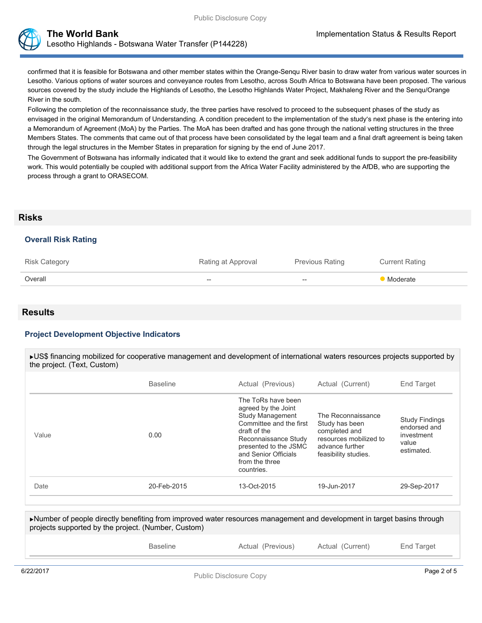

**The World Bank Implementation Status & Results Report** Lesotho Highlands - Botswana Water Transfer (P144228)

confirmed that it is feasible for Botswana and other member states within the Orange-Senqu River basin to draw water from various water sources in Lesotho. Various options of water sources and conveyance routes from Lesotho, across South Africa to Botswana have been proposed. The various sources covered by the study include the Highlands of Lesotho, the Lesotho Highlands Water Project, Makhaleng River and the Senqu/Orange River in the south.

Following the completion of the reconnaissance study, the three parties have resolved to proceed to the subsequent phases of the study as envisaged in the original Memorandum of Understanding. A condition precedent to the implementation of the study's next phase is the entering into a Memorandum of Agreement (MoA) by the Parties. The MoA has been drafted and has gone through the national vetting structures in the three Members States. The comments that came out of that process have been consolidated by the legal team and a final draft agreement is being taken through the legal structures in the Member States in preparation for signing by the end of June 2017.

The Government of Botswana has informally indicated that it would like to extend the grant and seek additional funds to support the pre-feasibility work. This would potentially be coupled with additional support from the Africa Water Facility administered by the AfDB, who are supporting the process through a grant to ORASECOM.

#### **Risks**

#### **Overall Risk Rating**

| <b>Risk Category</b> | Rating at Approval | <b>Previous Rating</b> | <b>Current Rating</b> |
|----------------------|--------------------|------------------------|-----------------------|
| Overall              | $- -$              | $\hspace{0.05cm} -$    | <b>Moderate</b>       |

### **Results**

#### **Project Development Objective Indicators**

| ►US\$ financing mobilized for cooperative management and development of international waters resources projects supported by<br>the project. (Text, Custom) |                 |                   |                  |            |  |
|-------------------------------------------------------------------------------------------------------------------------------------------------------------|-----------------|-------------------|------------------|------------|--|
|                                                                                                                                                             | <b>Baseline</b> | Actual (Previous) | Actual (Current) | End Target |  |

| Value | 0.00        |             | The Reconnaissance<br>Study has been<br>completed and<br>resources mobilized to<br>advance further<br>feasibility studies. | <b>Study Findings</b><br>endorsed and<br>investment<br>value<br>estimated. |  |
|-------|-------------|-------------|----------------------------------------------------------------------------------------------------------------------------|----------------------------------------------------------------------------|--|
| Date  | 20-Feb-2015 | 13-Oct-2015 | 19-Jun-2017                                                                                                                | 29-Sep-2017                                                                |  |
|       |             |             |                                                                                                                            |                                                                            |  |

Number of people directly benefiting from improved water resources management and development in target basins through projects supported by the project. (Number, Custom) Baseline **Actual (Previous)** Actual (Current) Actual Target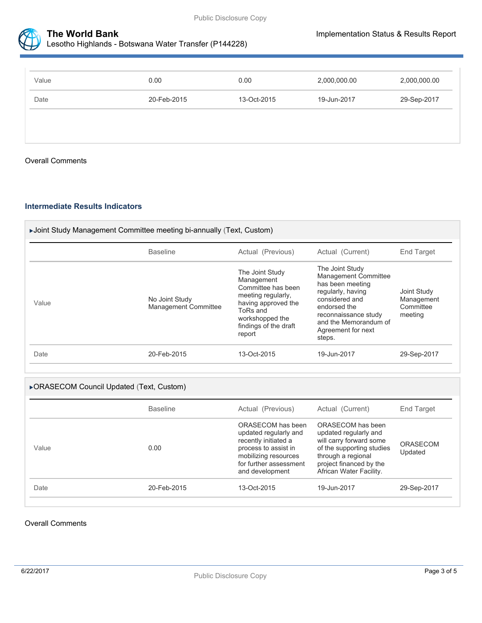

### **The World Bank Implementation Status & Results Report** Lesotho Highlands - Botswana Water Transfer (P144228)

| Value | 0.00        | 0.00        | 2,000,000.00 | 2,000,000.00 |
|-------|-------------|-------------|--------------|--------------|
| Date  | 20-Feb-2015 | 13-Oct-2015 | 19-Jun-2017  | 29-Sep-2017  |
|       |             |             |              |              |
|       |             |             |              |              |

#### Overall Comments

#### **Intermediate Results Indicators**

| ▶Joint Study Management Committee meeting bi-annually (Text, Custom) |                                               |                                                                                                                                                                    |                                                                                                                                                                                                            |                                                   |  |
|----------------------------------------------------------------------|-----------------------------------------------|--------------------------------------------------------------------------------------------------------------------------------------------------------------------|------------------------------------------------------------------------------------------------------------------------------------------------------------------------------------------------------------|---------------------------------------------------|--|
|                                                                      | <b>Baseline</b>                               | Actual (Previous)                                                                                                                                                  | Actual (Current)                                                                                                                                                                                           | End Target                                        |  |
| Value                                                                | No Joint Study<br><b>Management Committee</b> | The Joint Study<br>Management<br>Committee has been<br>meeting regularly,<br>having approved the<br>ToRs and<br>workshopped the<br>findings of the draft<br>report | The Joint Study<br><b>Management Committee</b><br>has been meeting<br>regularly, having<br>considered and<br>endorsed the<br>reconnaissance study<br>and the Memorandum of<br>Agreement for next<br>steps. | Joint Study<br>Management<br>Committee<br>meeting |  |
| Date                                                                 | 20-Feb-2015                                   | 13-Oct-2015                                                                                                                                                        | 19-Jun-2017                                                                                                                                                                                                | 29-Sep-2017                                       |  |

#### ORASECOM Council Updated (Text, Custom)

|       | <b>Baseline</b> | Actual (Previous)                                                                                                                                               | Actual (Current)                                                                                                                                                               | End Target                 |
|-------|-----------------|-----------------------------------------------------------------------------------------------------------------------------------------------------------------|--------------------------------------------------------------------------------------------------------------------------------------------------------------------------------|----------------------------|
| Value | 0.00            | ORASECOM has been<br>updated regularly and<br>recently initiated a<br>process to assist in<br>mobilizing resources<br>for further assessment<br>and development | ORASECOM has been<br>updated regularly and<br>will carry forward some<br>of the supporting studies<br>through a regional<br>project financed by the<br>African Water Facility. | <b>ORASECOM</b><br>Updated |
| Date  | 20-Feb-2015     | $13 - Oct-2015$                                                                                                                                                 | 19-Jun-2017                                                                                                                                                                    | 29-Sep-2017                |

#### Overall Comments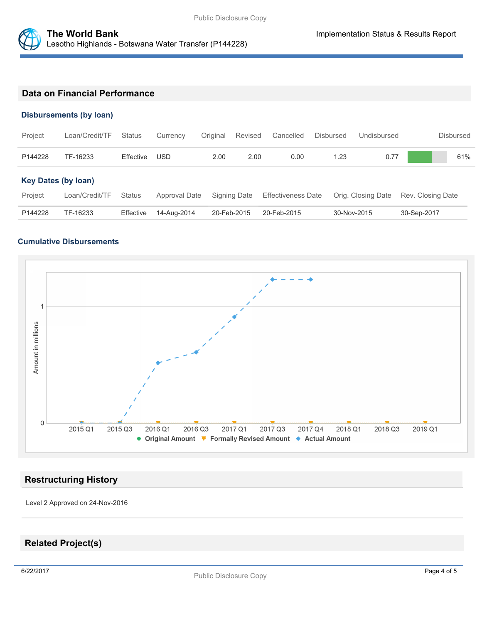

### **Data on Financial Performance**

### **Disbursements (by loan)**

| Project                    | Loan/Credit/TF | <b>Status</b> | Currency      | Original    | Revised      | Cancelled                 | <b>Disbursed</b> | Undisbursed        | <b>Disbursed</b>  |
|----------------------------|----------------|---------------|---------------|-------------|--------------|---------------------------|------------------|--------------------|-------------------|
| P144228                    | TF-16233       | Effective     | <b>USD</b>    | 2.00        | 2.00         | 0.00                      | 1.23             | 0.77               | 61%               |
| <b>Key Dates (by loan)</b> |                |               |               |             |              |                           |                  |                    |                   |
| Project                    | Loan/Credit/TF | Status        | Approval Date |             | Signing Date | <b>Effectiveness Date</b> |                  | Orig. Closing Date | Rev. Closing Date |
| P144228                    | TF-16233       | Effective     | 14-Aug-2014   | 20-Feb-2015 |              | 20-Feb-2015               | 30-Nov-2015      |                    | 30-Sep-2017       |

### **Cumulative Disbursements**



### **Restructuring History**

Level 2 Approved on 24-Nov-2016

## **Related Project(s)**